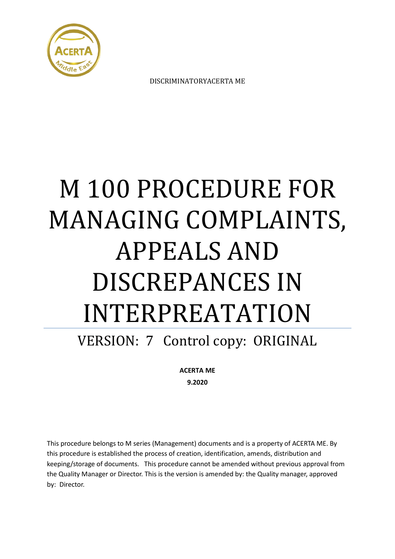

DISCRIMINATORYACERTA ME

# M 100 PROCEDURE FOR MANAGING COMPLAINTS, APPEALS AND DISCREPANCES IN INTERPREATATION

VERSION: 7 Control copy: ORIGINAL

**ACERTA ME 9.2020**

This procedure belongs to M series (Management) documents and is a property of ACERTA ME. By this procedure is established the process of creation, identification, amends, distribution and keeping/storage of documents. This procedure cannot be amended without previous approval from the Quality Manager or Director. This is the version is amended by: the Quality manager, approved by: Director.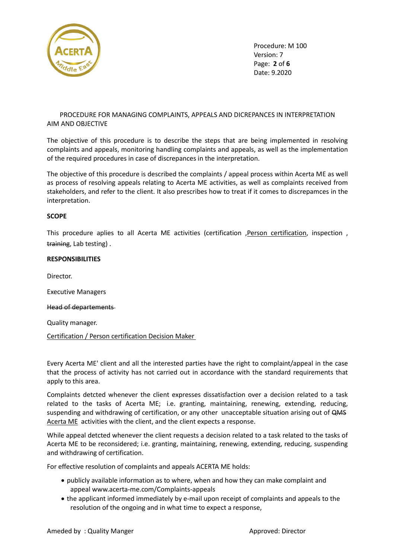

 Procedure: M 100 Version: 7 Page: **2** of **6** Date: 9.2020

# PROCEDURE FOR MANAGING COMPLAINTS, APPEALS AND DICREPANCES IN INTERPRETATION AIM AND OBJECTIVE

The objective of this procedure is to describe the steps that are being implemented in resolving complaints and appeals, monitoring handling complaints and appeals, as well as the implementation of the required procedures in case of discrepances in the interpretation.

The objective of this procedure is described the complaints / appeal process within Acerta ME as well as process of resolving appeals relating to Acerta ME activities, as well as complaints received from stakeholders, and refer to the client. It also prescribes how to treat if it comes to discrepamces in the interpretation.

### **SCOPE**

This procedure aplies to all Acerta ME activities (certification ,Person certification, inspection , training, Lab testing) .

### **RESPONSIBILITIES**

Director.

Executive Managers

Head of departements

Quality manager.

Certification / Person certification Decision Maker

Every Acerta ME' client and all the interested parties have the right to complaint/appeal in the case that the process of activity has not carried out in accordance with the standard requirements that apply to this area.

Complaints detcted whenever the client expresses dissatisfaction over a decision related to a task related to the tasks of Acerta ME; i.e. granting, maintaining, renewing, extending, reducing, suspending and withdrawing of certification, or any other unacceptable situation arising out of QMS Acerta ME activities with the client, and the client expects a response.

While appeal detcted whenever the client requests a decision related to a task related to the tasks of Acerta ME to be reconsidered; i.e. granting, maintaining, renewing, extending, reducing, suspending and withdrawing of certification.

For effective resolution of complaints and appeals ACERTA ME holds:

- publicly available information as to where, when and how they can make complaint and appeal www.acerta-me.com/Complaints-appeals
- the applicant informed immediately by e-mail upon receipt of complaints and appeals to the resolution of the ongoing and in what time to expect a response,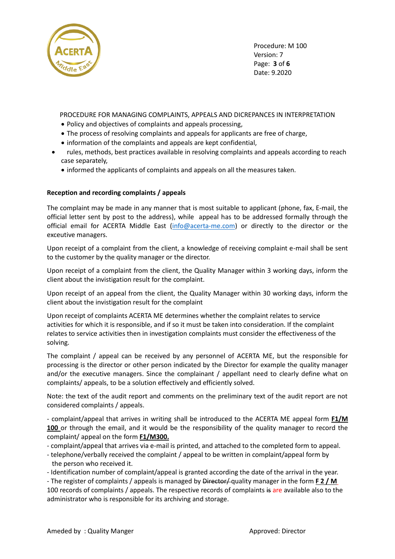

 Procedure: M 100 Version: 7 Page: **3** of **6** Date: 9.2020

PROCEDURE FOR MANAGING COMPLAINTS, APPEALS AND DICREPANCES IN INTERPRETATION

- Policy and objectives of complaints and appeals processing,
- The process of resolving complaints and appeals for applicants are free of charge,
- information of the complaints and appeals are kept confidential,
- rules, methods, best practices available in resolving complaints and appeals according to reach case separately,
	- informed the applicants of complaints and appeals on all the measures taken.

# **Reception and recording complaints / appeals**

The complaint may be made in any manner that is most suitable to applicant (phone, fax, E-mail, the official letter sent by post to the address), while appeal has to be addressed formally through the official email for ACERTA Middle East [\(info@acerta-me.com\)](mailto:info@acerta-me.com) or directly to the director or the exceutive managers.

Upon receipt of a complaint from the client, a knowledge of receiving complaint e-mail shall be sent to the customer by the quality manager or the director.

Upon receipt of a complaint from the client, the Quality Manager within 3 working days, inform the client about the invistigation result for the complaint.

Upon receipt of an appeal from the client, the Quality Manager within 30 working days, inform the client about the invistigation result for the complaint

Upon receipt of complaints ACERTA ME determines whether the complaint relates to service activities for which it is responsible, and if so it must be taken into consideration. If the complaint relates to service activities then in investigation complaints must consider the effectiveness of the solving.

The complaint / appeal can be received by any personnel of ACERTA ME, but the responsible for processing is the director or other person indicated by the Director for example the quality manager and/or the executive managers. Since the complainant / appellant need to clearly define what on complaints/ appeals, to be a solution effectively and efficiently solved.

Note: the text of the audit report and comments on the preliminary text of the audit report are not considered complaints / appeals.

- complaint/appeal that arrives in writing shall be introduced to the ACERTA ME appeal form **F1/M 100** or through the email, and it would be the responsibility of the quality manager to record the complaint/ appeal on the form **F1/M300.**

- complaint/appeal that arrives via e-mail is printed, and attached to the completed form to appeal.

- telephone/verbally received the complaint / appeal to be written in complaint/appeal form by the person who received it.
- Identification number of complaint/appeal is granted according the date of the arrival in the year.

- The register of complaints / appeals is managed by Director/ quality manager in the form **F 2 / M** 100 records of complaints / appeals. The respective records of complaints is are available also to the administrator who is responsible for its archiving and storage.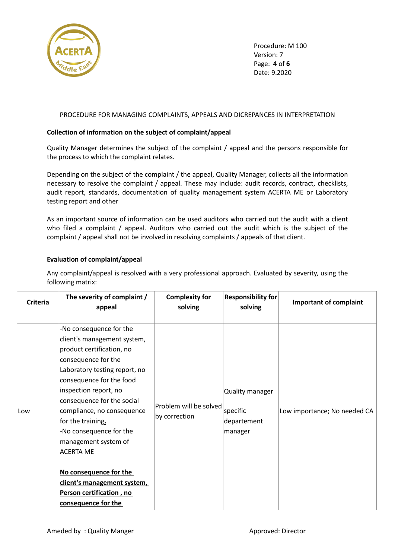

 Procedure: M 100 Version: 7 Page: **4** of **6** Date: 9.2020

# PROCEDURE FOR MANAGING COMPLAINTS, APPEALS AND DICREPANCES IN INTERPRETATION

## **Collection of information on the subject of complaint/appeal**

Quality Manager determines the subject of the complaint / appeal and the persons responsible for the process to which the complaint relates.

Depending on the subject of the complaint / the appeal, Quality Manager, collects all the information necessary to resolve the complaint / appeal. These may include: audit records, contract, checklists, audit report, standards, documentation of quality management system ACERTA ME or Laboratory testing report and other

As an important source of information can be used auditors who carried out the audit with a client who filed a complaint / appeal. Auditors who carried out the audit which is the subject of the complaint / appeal shall not be involved in resolving complaints / appeals of that client.

# **Evaluation of complaint/appeal**

Any complaint/appeal is resolved with a very professional approach. Evaluated by severity, using the following matrix:

| Criteria   | The severity of complaint /<br>appeal                                                                                                                                                                                                                                                                                                                                              | <b>Complexity for</b><br>solving        | <b>Responsibility for</b><br>solving                  | <b>Important of complaint</b> |
|------------|------------------------------------------------------------------------------------------------------------------------------------------------------------------------------------------------------------------------------------------------------------------------------------------------------------------------------------------------------------------------------------|-----------------------------------------|-------------------------------------------------------|-------------------------------|
| <b>Low</b> | -No consequence for the<br>client's management system,<br>product certification, no<br>consequence for the<br>Laboratory testing report, no<br>consequence for the food<br>inspection report, no<br>consequence for the social<br>compliance, no consequence<br>for the training.<br>-No consequence for the<br>management system of<br><b>ACERTA ME</b><br>No consequence for the | Problem will be solved<br>by correction | Quality manager<br>specific<br>departement<br>manager | Low importance; No needed CA  |
|            | client's management system,<br>Person certification, no<br>consequence for the                                                                                                                                                                                                                                                                                                     |                                         |                                                       |                               |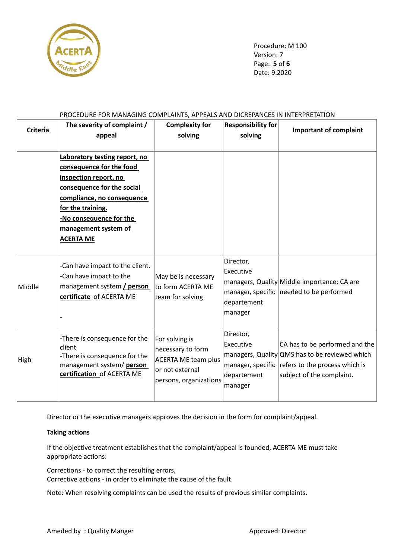

 Procedure: M 100 Version: 7 Page: **5** of **6** Date: 9.2020

| PROCEDURE FOR MANAGING COMPLAINTS, APPEALS AND DICREPANCES IN INTERPRETATION |                                                                                                                                                                                                                                            |                                                                                                                |                                                  |                                                                                                                                                                   |  |  |  |
|------------------------------------------------------------------------------|--------------------------------------------------------------------------------------------------------------------------------------------------------------------------------------------------------------------------------------------|----------------------------------------------------------------------------------------------------------------|--------------------------------------------------|-------------------------------------------------------------------------------------------------------------------------------------------------------------------|--|--|--|
| <b>Criteria</b>                                                              | The severity of complaint /<br>appeal                                                                                                                                                                                                      | <b>Complexity for</b><br>solving                                                                               | <b>Responsibility for</b><br>solving             | <b>Important of complaint</b>                                                                                                                                     |  |  |  |
|                                                                              | Laboratory testing report, no<br>consequence for the food<br>inspection report, no<br>consequence for the social<br>compliance, no consequence<br>for the training.<br>-No consequence for the<br>management system of<br><b>ACERTA ME</b> |                                                                                                                |                                                  |                                                                                                                                                                   |  |  |  |
| Middle                                                                       | -Can have impact to the client.<br>-Can have impact to the<br>management system / person<br>certificate of ACERTA ME                                                                                                                       | May be is necessary<br>to form ACERTA ME<br>team for solving                                                   | Director,<br>Executive<br>departement<br>manager | managers, Quality Middle importance; CA are<br>manager, specific needed to be performed                                                                           |  |  |  |
| High                                                                         | -There is consequence for the<br>client<br>-There is consequence for the<br>management system/ person<br>certification of ACERTA ME                                                                                                        | For solving is<br>necessary to form<br><b>ACERTA ME team plus</b><br>or not external<br>persons, organizations | Director,<br>Executive<br>departement<br>manager | CA has to be performed and the<br>managers, Quality QMS has to be reviewed which<br>manager, specific refers to the process which is<br>subject of the complaint. |  |  |  |

Director or the executive managers approves the decision in the form for complaint/appeal.

## **Taking actions**

If the objective treatment establishes that the complaint/appeal is founded, ACERTA ME must take appropriate actions:

Corrections - to correct the resulting errors, Corrective actions - in order to eliminate the cause of the fault.

Note: When resolving complaints can be used the results of previous similar complaints.